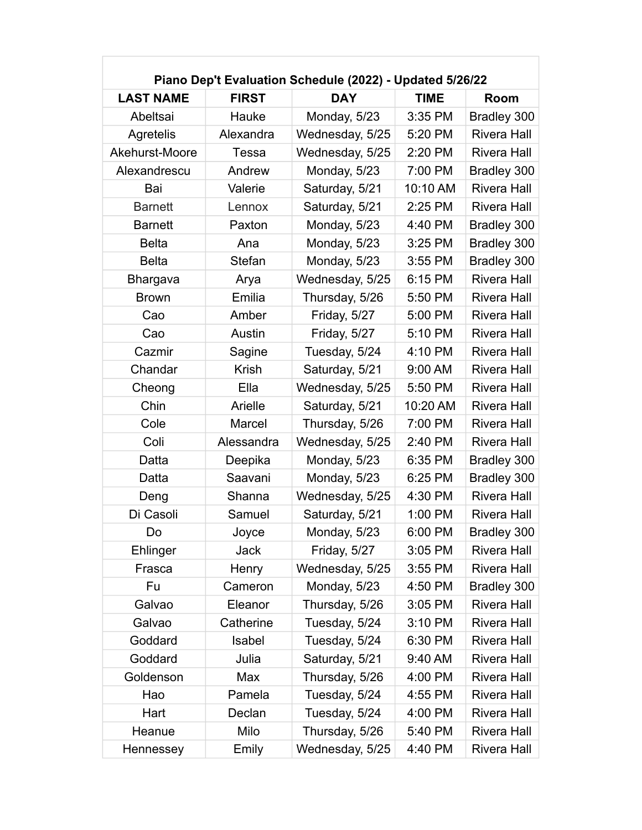| Piano Dep't Evaluation Schedule (2022) - Updated 5/26/22 |               |                 |             |                    |
|----------------------------------------------------------|---------------|-----------------|-------------|--------------------|
| <b>LAST NAME</b>                                         | <b>FIRST</b>  | <b>DAY</b>      | <b>TIME</b> | Room               |
| Abeltsai                                                 | Hauke         | Monday, 5/23    | 3:35 PM     | Bradley 300        |
| Agretelis                                                | Alexandra     | Wednesday, 5/25 | 5:20 PM     | <b>Rivera Hall</b> |
| Akehurst-Moore                                           | <b>Tessa</b>  | Wednesday, 5/25 | 2:20 PM     | <b>Rivera Hall</b> |
| Alexandrescu                                             | Andrew        | Monday, 5/23    | 7:00 PM     | Bradley 300        |
| Bai                                                      | Valerie       | Saturday, 5/21  | 10:10 AM    | <b>Rivera Hall</b> |
| <b>Barnett</b>                                           | Lennox        | Saturday, 5/21  | 2:25 PM     | <b>Rivera Hall</b> |
| <b>Barnett</b>                                           | Paxton        | Monday, 5/23    | 4:40 PM     | Bradley 300        |
| <b>Belta</b>                                             | Ana           | Monday, 5/23    | 3:25 PM     | Bradley 300        |
| <b>Belta</b>                                             | <b>Stefan</b> | Monday, 5/23    | 3:55 PM     | Bradley 300        |
| Bhargava                                                 | Arya          | Wednesday, 5/25 | 6:15 PM     | <b>Rivera Hall</b> |
| <b>Brown</b>                                             | Emilia        | Thursday, 5/26  | 5:50 PM     | <b>Rivera Hall</b> |
| Cao                                                      | Amber         | Friday, 5/27    | 5:00 PM     | <b>Rivera Hall</b> |
| Cao                                                      | Austin        | Friday, 5/27    | 5:10 PM     | <b>Rivera Hall</b> |
| Cazmir                                                   | Sagine        | Tuesday, 5/24   | 4:10 PM     | <b>Rivera Hall</b> |
| Chandar                                                  | <b>Krish</b>  | Saturday, 5/21  | 9:00 AM     | <b>Rivera Hall</b> |
| Cheong                                                   | Ella          | Wednesday, 5/25 | 5:50 PM     | <b>Rivera Hall</b> |
| Chin                                                     | Arielle       | Saturday, 5/21  | 10:20 AM    | <b>Rivera Hall</b> |
| Cole                                                     | Marcel        | Thursday, 5/26  | 7:00 PM     | <b>Rivera Hall</b> |
| Coli                                                     | Alessandra    | Wednesday, 5/25 | 2:40 PM     | <b>Rivera Hall</b> |
| Datta                                                    | Deepika       | Monday, 5/23    | 6:35 PM     | Bradley 300        |
| Datta                                                    | Saavani       | Monday, 5/23    | 6:25 PM     | Bradley 300        |
| Deng                                                     | Shanna        | Wednesday, 5/25 | 4:30 PM     | <b>Rivera Hall</b> |
| Di Casoli                                                | Samuel        | Saturday, 5/21  | 1:00 PM     | <b>Rivera Hall</b> |
| Do.                                                      | Joyce         | Monday, 5/23    | 6:00 PM     | Bradley 300        |
| Ehlinger                                                 | Jack          | Friday, 5/27    | 3:05 PM     | Rivera Hall        |
| Frasca                                                   | Henry         | Wednesday, 5/25 | 3:55 PM     | Rivera Hall        |
| Fu                                                       | Cameron       | Monday, 5/23    | 4:50 PM     | Bradley 300        |
| Galvao                                                   | Eleanor       | Thursday, 5/26  | 3:05 PM     | <b>Rivera Hall</b> |
| Galvao                                                   | Catherine     | Tuesday, 5/24   | 3:10 PM     | <b>Rivera Hall</b> |
| Goddard                                                  | Isabel        | Tuesday, 5/24   | 6:30 PM     | <b>Rivera Hall</b> |
| Goddard                                                  | Julia         | Saturday, 5/21  | 9:40 AM     | <b>Rivera Hall</b> |
| Goldenson                                                | Max           | Thursday, 5/26  | 4:00 PM     | <b>Rivera Hall</b> |
| Hao                                                      | Pamela        | Tuesday, 5/24   | 4:55 PM     | <b>Rivera Hall</b> |
| Hart                                                     | Declan        | Tuesday, 5/24   | 4:00 PM     | <b>Rivera Hall</b> |
| Heanue                                                   | Milo          | Thursday, 5/26  | 5:40 PM     | <b>Rivera Hall</b> |
| Hennessey                                                | Emily         | Wednesday, 5/25 | 4:40 PM     | Rivera Hall        |

 $\Box$ 

٦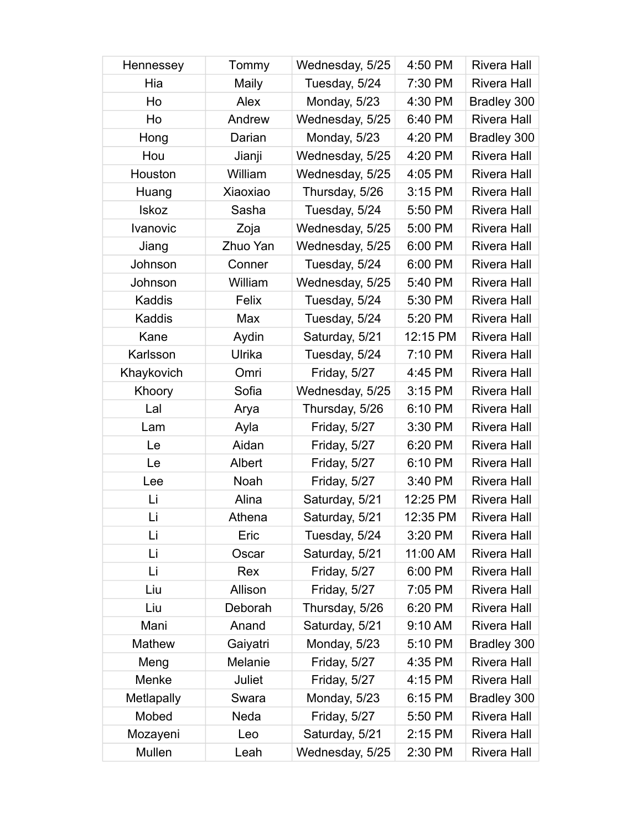| Hennessey    | Tommy    | Wednesday, 5/25 | 4:50 PM  | <b>Rivera Hall</b> |
|--------------|----------|-----------------|----------|--------------------|
| Hia          | Maily    | Tuesday, 5/24   | 7:30 PM  | <b>Rivera Hall</b> |
| Ho           | Alex     | Monday, 5/23    | 4:30 PM  | Bradley 300        |
| Ho           | Andrew   | Wednesday, 5/25 | 6:40 PM  | <b>Rivera Hall</b> |
| Hong         | Darian   | Monday, 5/23    | 4:20 PM  | Bradley 300        |
| Hou          | Jianji   | Wednesday, 5/25 | 4:20 PM  | <b>Rivera Hall</b> |
| Houston      | William  | Wednesday, 5/25 | 4:05 PM  | <b>Rivera Hall</b> |
| Huang        | Xiaoxiao | Thursday, 5/26  | 3:15 PM  | <b>Rivera Hall</b> |
| <b>Iskoz</b> | Sasha    | Tuesday, 5/24   | 5:50 PM  | <b>Rivera Hall</b> |
| Ivanovic     | Zoja     | Wednesday, 5/25 | 5:00 PM  | <b>Rivera Hall</b> |
| Jiang        | Zhuo Yan | Wednesday, 5/25 | 6:00 PM  | <b>Rivera Hall</b> |
| Johnson      | Conner   | Tuesday, 5/24   | 6:00 PM  | <b>Rivera Hall</b> |
| Johnson      | William  | Wednesday, 5/25 | 5:40 PM  | <b>Rivera Hall</b> |
| Kaddis       | Felix    | Tuesday, 5/24   | 5:30 PM  | <b>Rivera Hall</b> |
| Kaddis       | Max      | Tuesday, 5/24   | 5:20 PM  | <b>Rivera Hall</b> |
| Kane         | Aydin    | Saturday, 5/21  | 12:15 PM | <b>Rivera Hall</b> |
| Karlsson     | Ulrika   | Tuesday, 5/24   | 7:10 PM  | <b>Rivera Hall</b> |
| Khaykovich   | Omri     | Friday, 5/27    | 4:45 PM  | <b>Rivera Hall</b> |
| Khoory       | Sofia    | Wednesday, 5/25 | 3:15 PM  | <b>Rivera Hall</b> |
| Lal          | Arya     | Thursday, 5/26  | 6:10 PM  | <b>Rivera Hall</b> |
| Lam          | Ayla     | Friday, 5/27    | 3:30 PM  | <b>Rivera Hall</b> |
| Le           | Aidan    | Friday, 5/27    | 6:20 PM  | <b>Rivera Hall</b> |
| Le           | Albert   | Friday, 5/27    | 6:10 PM  | <b>Rivera Hall</b> |
| Lee          | Noah     | Friday, 5/27    | 3:40 PM  | <b>Rivera Hall</b> |
| Li           | Alina    | Saturday, 5/21  | 12:25 PM | <b>Rivera Hall</b> |
| Li           | Athena   | Saturday, 5/21  | 12:35 PM | <b>Rivera Hall</b> |
| Li           | Eric     | Tuesday, 5/24   | 3:20 PM  | <b>Rivera Hall</b> |
| Li           | Oscar    | Saturday, 5/21  | 11:00 AM | <b>Rivera Hall</b> |
| Li           | Rex      | Friday, 5/27    | 6:00 PM  | <b>Rivera Hall</b> |
| Liu          | Allison  | Friday, 5/27    | 7:05 PM  | <b>Rivera Hall</b> |
| Liu          | Deborah  | Thursday, 5/26  | 6:20 PM  | <b>Rivera Hall</b> |
| Mani         | Anand    | Saturday, 5/21  | 9:10 AM  | <b>Rivera Hall</b> |
| Mathew       | Gaiyatri | Monday, 5/23    | 5:10 PM  | Bradley 300        |
| Meng         | Melanie  | Friday, 5/27    | 4:35 PM  | <b>Rivera Hall</b> |
| Menke        | Juliet   | Friday, 5/27    | 4:15 PM  | <b>Rivera Hall</b> |
| Metlapally   | Swara    | Monday, 5/23    | 6:15 PM  | Bradley 300        |
| Mobed        | Neda     | Friday, 5/27    | 5:50 PM  | <b>Rivera Hall</b> |
| Mozayeni     | Leo      | Saturday, 5/21  | 2:15 PM  | <b>Rivera Hall</b> |
| Mullen       | Leah     | Wednesday, 5/25 | 2:30 PM  | Rivera Hall        |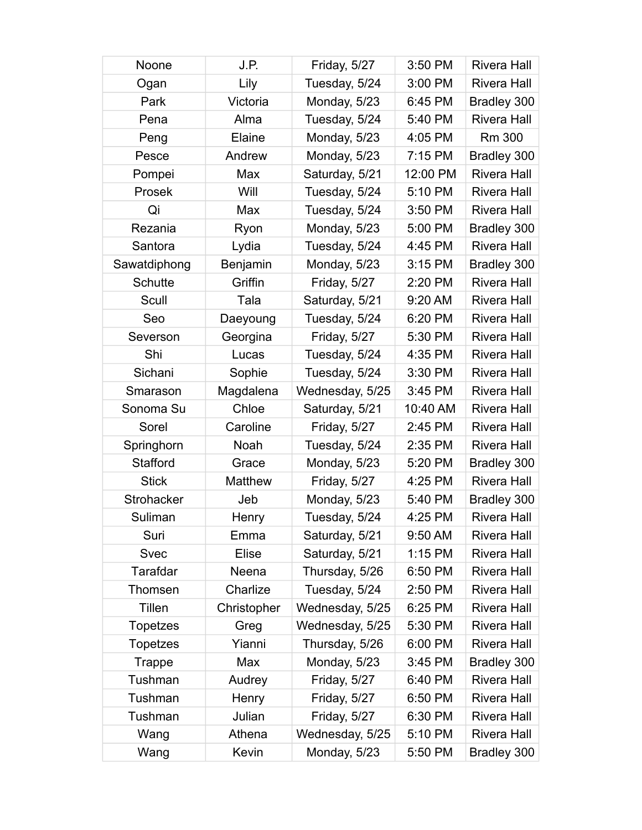| Noone             | J.P.        | Friday, 5/27        | 3:50 PM  | <b>Rivera Hall</b> |
|-------------------|-------------|---------------------|----------|--------------------|
| Ogan              | Lily        | Tuesday, 5/24       | 3:00 PM  | <b>Rivera Hall</b> |
| Park              | Victoria    | Monday, 5/23        | 6:45 PM  | Bradley 300        |
| Pena              | Alma        | Tuesday, 5/24       | 5:40 PM  | <b>Rivera Hall</b> |
| Peng              | Elaine      | Monday, 5/23        | 4:05 PM  | <b>Rm 300</b>      |
| Pesce             | Andrew      | Monday, 5/23        | 7:15 PM  | Bradley 300        |
| Pompei            | Max         | Saturday, 5/21      | 12:00 PM | <b>Rivera Hall</b> |
| Prosek            | Will        | Tuesday, 5/24       | 5:10 PM  | <b>Rivera Hall</b> |
| Qi                | Max         | Tuesday, 5/24       | 3:50 PM  | <b>Rivera Hall</b> |
| Rezania           | Ryon        | Monday, 5/23        | 5:00 PM  | Bradley 300        |
| Santora           | Lydia       | Tuesday, 5/24       | 4:45 PM  | <b>Rivera Hall</b> |
| Sawatdiphong      | Benjamin    | Monday, 5/23        | 3:15 PM  | Bradley 300        |
| <b>Schutte</b>    | Griffin     | Friday, 5/27        | 2:20 PM  | <b>Rivera Hall</b> |
| Scull             | Tala        | Saturday, 5/21      | 9:20 AM  | <b>Rivera Hall</b> |
| Seo               | Daeyoung    | Tuesday, 5/24       | 6:20 PM  | <b>Rivera Hall</b> |
| Severson          | Georgina    | Friday, 5/27        | 5:30 PM  | <b>Rivera Hall</b> |
| Shi               | Lucas       | Tuesday, 5/24       | 4:35 PM  | <b>Rivera Hall</b> |
| Sichani           | Sophie      | Tuesday, 5/24       | 3:30 PM  | <b>Rivera Hall</b> |
| Smarason          | Magdalena   | Wednesday, 5/25     | 3:45 PM  | <b>Rivera Hall</b> |
| Sonoma Su         | Chloe       | Saturday, 5/21      | 10:40 AM | <b>Rivera Hall</b> |
| Sorel             | Caroline    | Friday, 5/27        | 2:45 PM  | <b>Rivera Hall</b> |
| Springhorn        | Noah        | Tuesday, 5/24       | 2:35 PM  | <b>Rivera Hall</b> |
| Stafford          | Grace       | Monday, 5/23        | 5:20 PM  | Bradley 300        |
| <b>Stick</b>      | Matthew     | Friday, 5/27        | 4:25 PM  | <b>Rivera Hall</b> |
| <b>Strohacker</b> | Jeb         | Monday, 5/23        | 5:40 PM  | Bradley 300        |
| Suliman           | Henry       | Tuesday, 5/24       | 4:25 PM  | <b>Rivera Hall</b> |
| Suri              | Emma        | Saturday, 5/21      | 9:50 AM  | <b>Rivera Hall</b> |
| <b>Svec</b>       | Elise       | Saturday, 5/21      | 1:15 PM  | <b>Rivera Hall</b> |
| Tarafdar          | Neena       | Thursday, 5/26      | 6:50 PM  | <b>Rivera Hall</b> |
| Thomsen           | Charlize    | Tuesday, 5/24       | 2:50 PM  | <b>Rivera Hall</b> |
| Tillen            | Christopher | Wednesday, 5/25     | 6:25 PM  | <b>Rivera Hall</b> |
| <b>Topetzes</b>   | Greg        | Wednesday, 5/25     | 5:30 PM  | <b>Rivera Hall</b> |
| <b>Topetzes</b>   | Yianni      | Thursday, 5/26      | 6:00 PM  | <b>Rivera Hall</b> |
| <b>Trappe</b>     | Max         | Monday, 5/23        | 3:45 PM  | Bradley 300        |
| Tushman           | Audrey      | Friday, 5/27        | 6:40 PM  | <b>Rivera Hall</b> |
| Tushman           | Henry       | <b>Friday, 5/27</b> | 6:50 PM  | <b>Rivera Hall</b> |
| Tushman           | Julian      | Friday, 5/27        | 6:30 PM  | <b>Rivera Hall</b> |
| Wang              | Athena      | Wednesday, 5/25     | 5:10 PM  | <b>Rivera Hall</b> |
| Wang              | Kevin       | Monday, 5/23        | 5:50 PM  | Bradley 300        |